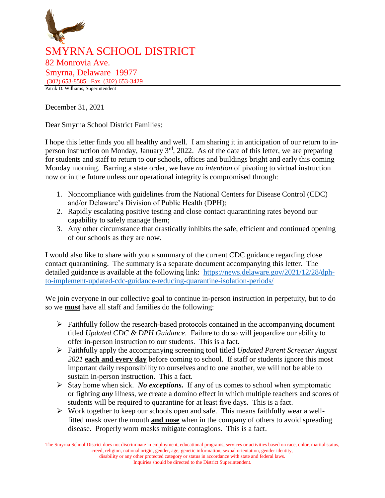

December 31, 2021

Dear Smyrna School District Families:

I hope this letter finds you all healthy and well. I am sharing it in anticipation of our return to inperson instruction on Monday, January  $3<sup>rd</sup>$ , 2022. As of the date of this letter, we are preparing for students and staff to return to our schools, offices and buildings bright and early this coming Monday morning. Barring a state order, we have *no intention* of pivoting to virtual instruction now or in the future unless our operational integrity is compromised through:

- 1. Noncompliance with guidelines from the National Centers for Disease Control (CDC) and/or Delaware's Division of Public Health (DPH);
- 2. Rapidly escalating positive testing and close contact quarantining rates beyond our capability to safely manage them;
- 3. Any other circumstance that drastically inhibits the safe, efficient and continued opening of our schools as they are now.

I would also like to share with you a summary of the current CDC guidance regarding close contact quarantining. The summary is a separate document accompanying this letter. The detailed guidance is available at the following link: [https://news.delaware.gov/2021/12/28/dph](https://news.delaware.gov/2021/12/28/dph-to-implement-updated-cdc-guidance-reducing-quarantine-isolation-periods/)[to-implement-updated-cdc-guidance-reducing-quarantine-isolation-periods/](https://news.delaware.gov/2021/12/28/dph-to-implement-updated-cdc-guidance-reducing-quarantine-isolation-periods/)

We join everyone in our collective goal to continue in-person instruction in perpetuity, but to do so we **must** have all staff and families do the following:

- $\triangleright$  Faithfully follow the research-based protocols contained in the accompanying document titled *Updated CDC & DPH Guidance*. Failure to do so will jeopardize our ability to offer in-person instruction to our students. This is a fact.
- Faithfully apply the accompanying screening tool titled *Updated Parent Screener August 2021* **each and every day** before coming to school. If staff or students ignore this most important daily responsibility to ourselves and to one another, we will not be able to sustain in-person instruction. This a fact.
- $\triangleright$  Stay home when sick. *No exceptions*. If any of us comes to school when symptomatic or fighting *any* illness, we create a domino effect in which multiple teachers and scores of students will be required to quarantine for at least five days. This is a fact.
- $\triangleright$  Work together to keep our schools open and safe. This means faithfully wear a wellfitted mask over the mouth **and nose** when in the company of others to avoid spreading disease. Properly worn masks mitigate contagions. This is a fact.